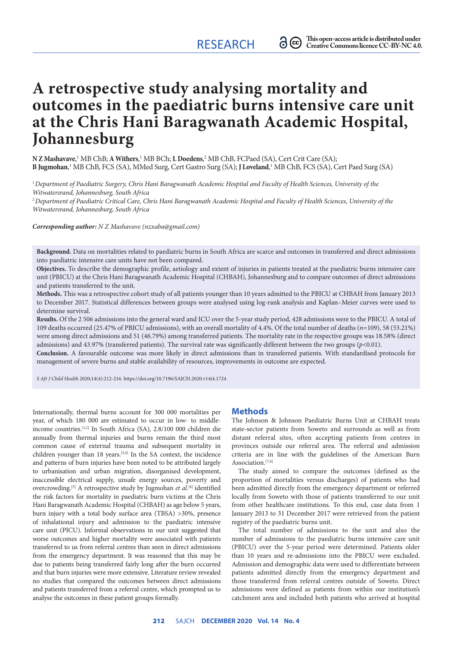# **A retrospective study analysing mortality and outcomes in the paediatric burns intensive care unit at the Chris Hani Baragwanath Academic Hospital, Johannesburg**

 $N$ **Z Mashavave,'** MB ChB; **A Withers**,' MB BCh; **L Doedens**,<sup>2</sup> MB ChB, FCPaed (SA), Cert Crit Care (SA); **B Jugmohan**, 1 MB ChB, FCS (SA), MMed Surg, Cert Gastro Surg (SA); **J Loveland**, 1 MB ChB, FCS (SA), Cert Paed Surg (SA)

<sup>1</sup>*Department of Paediatric Surgery, Chris Hani Baragwanath Academic Hospital and Faculty of Health Sciences, University of the Witwatersrand, Johannesburg, South Africa*

<sup>2</sup>*Department of Paediatric Critical Care, Chris Hani Baragwanath Academic Hospital and Faculty of Health Sciences, University of the Witwatersrand, Johannesburg, South Africa*

*Corresponding author: N Z Mashavave (nzxaba@gmail.com)*

**Background.** Data on mortalities related to paediatric burns in South Africa are scarce and outcomes in transferred and direct admissions into paediatric intensive care units have not been compared.

**Objectives.** To describe the demographic profile, aetiology and extent of injuries in patients treated at the paediatric burns intensive care unit (PBICU) at the Chris Hani Baragwanath Academic Hospital (CHBAH), Johannesburg and to compare outcomes of direct admissions and patients transferred to the unit.

**Methods.** This was a retrospective cohort study of all patients younger than 10 years admitted to the PBICU at CHBAH from January 2013 to December 2017. Statistical differences between groups were analysed using log-rank analysis and Kaplan–Meier curves were used to determine survival.

**Results.** Of the 2 506 admissions into the general ward and ICU over the 5-year study period, 428 admissions were to the PBICU. A total of 109 deaths occurred (25.47% of PBICU admissions), with an overall mortality of 4.4%. Of the total number of deaths (*n*=109), 58 (53.21%) were among direct admissions and 51 (46.79%) among transferred patients. The mortality rate in the respective groups was 18.58% (direct admissions) and 43.97% (transferred patients). The survival rate was significantly different between the two groups (*p*<0.01).

**Conclusion.** A favourable outcome was more likely in direct admissions than in transferred patients. With standardised protocols for management of severe burns and stable availability of resources, improvements in outcome are expected.

*S Afr J Child Health* 2020;14(4):212-216. https://doi.org/10.7196/SAJCH.2020.v14i4.1724

Internationally, thermal burns account for 300 000 mortalities per year, of which 180 000 are estimated to occur in low- to middleincome countries.[1,2] In South Africa (SA), 2.8/100 000 children die annually from thermal injuries and burns remain the third most common cause of external trauma and subsequent mortality in children younger than 18 years.[3,4] In the SA context, the incidence and patterns of burn injuries have been noted to be attributed largely to urbanisation and urban migration, disorganised development, inaccessible electrical supply, unsafe energy sources, poverty and overcrowding.<sup>[5]</sup> A retrospective study by Jugmohan *et al.*<sup>[6]</sup> identified the risk factors for mortality in paediatric burn victims at the Chris Hani Baragwanath Academic Hospital (CHBAH) as age below 5 years, burn injury with a total body surface area (TBSA) >30%, presence of inhalational injury and admission to the paediatric intensive care unit (PICU). Informal observations in our unit suggested that worse outcomes and higher mortality were associated with patients transferred to us from referral centres than seen in direct admissions from the emergency department. It was reasoned that this may be due to patients being transferred fairly long after the burn occurred and that burn injuries were more extensive. Literature review revealed no studies that compared the outcomes between direct admissions and patients transferred from a referral centre, which prompted us to analyse the outcomes in these patient groups formally.

### **Methods**

The Johnson & Johnson Paediatric Burns Unit at CHBAH treats state-sector patients from Soweto and surrounds as well as from distant referral sites, often accepting patients from centres in provinces outside our referral area. The referral and admission criteria are in line with the guidelines of the American Burn Association.<sup>[7,8]</sup>

The study aimed to compare the outcomes (defined as the proportion of mortalities versus discharges) of patients who had been admitted directly from the emergency department or referred locally from Soweto with those of patients transferred to our unit from other healthcare institutions. To this end, case data from 1 January 2013 to 31 December 2017 were retrieved from the patient registry of the paediatric burns unit.

The total number of admissions to the unit and also the number of admissions to the paediatric burns intensive care unit (PBICU) over the 5-year period were determined. Patients older than 10 years and re-admissions into the PBICU were excluded. Admission and demographic data were used to differentiate between patients admitted directly from the emergency department and those transferred from referral centres outside of Soweto. Direct admissions were defined as patients from within our institution's catchment area and included both patients who arrived at hospital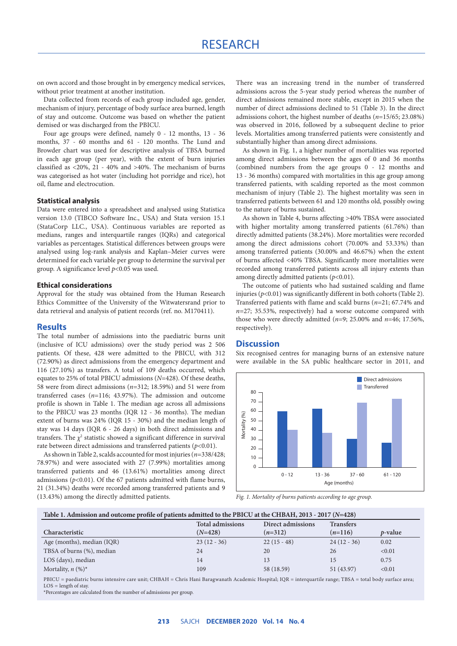on own accord and those brought in by emergency medical services, without prior treatment at another institution.

Data collected from records of each group included age, gender, mechanism of injury, percentage of body surface area burned, length of stay and outcome. Outcome was based on whether the patient demised or was discharged from the PBICU.

Four age groups were defined, namely 0 - 12 months, 13 - 36 months, 37 - 60 months and 61 - 120 months. The Lund and Browder chart was used for descriptive analysis of TBSA burned in each age group (per year), with the extent of burn injuries classified as <20%, 21 - 40% and >40%. The mechanism of burns was categorised as hot water (including hot porridge and rice), hot oil, flame and electrocution.

### **Statistical analysis**

Data were entered into a spreadsheet and analysed using Statistica version 13.0 (TIBCO Software Inc., USA) and Stata version 15.1 (StataCorp LLC., USA). Continuous variables are reported as medians, ranges and interquartile ranges (IQRs) and categorical variables as percentages. Statistical differences between groups were analysed using log-rank analysis and Kaplan–Meier curves were determined for each variable per group to determine the survival per group. A significance level *p*<0.05 was used.

### **Ethical considerations**

Approval for the study was obtained from the Human Research Ethics Committee of the University of the Witwatersrand prior to data retrieval and analysis of patient records (ref. no. M170411).

### **Results**

The total number of admissions into the paediatric burns unit (inclusive of ICU admissions) over the study period was 2 506 patients. Of these, 428 were admitted to the PBICU, with 312 (72.90%) as direct admissions from the emergency department and 116 (27.10%) as transfers. A total of 109 deaths occurred, which equates to 25% of total PBICU admissions (*N*=428). Of these deaths, 58 were from direct admissions (*n*=312; 18.59%) and 51 were from transferred cases (*n*=116; 43.97%). The admission and outcome profile is shown in Table 1. The median age across all admissions to the PBICU was 23 months (IQR 12 - 36 months). The median extent of burns was 24% (IQR 15 - 30%) and the median length of stay was 14 days (IQR 6 - 26 days) in both direct admissions and transfers. The  $\chi^2$  statistic showed a significant difference in survival rate between direct admissions and transferred patients (*p*<0.01).

As shown in Table 2, scalds accounted for most injuries (*n*=338/428; 78.97%) and were associated with 27 (7.99%) mortalities among transferred patients and 46 (13.61%) mortalities among direct admissions (*p*<0.01). Of the 67 patients admitted with flame burns, 21 (31.34%) deaths were recorded among transferred patients and 9 (13.43%) among the directly admitted patients.

There was an increasing trend in the number of transferred admissions across the 5-year study period whereas the number of direct admissions remained more stable, except in 2015 when the number of direct admissions declined to 51 (Table 3). In the direct admissions cohort, the highest number of deaths (*n*=15/65; 23.08%) was observed in 2016, followed by a subsequent decline to prior levels. Mortalities among transferred patients were consistently and substantially higher than among direct admissions.

As shown in Fig. 1, a higher number of mortalities was reported among direct admissions between the ages of 0 and 36 months (combined numbers from the age groups 0 - 12 months and 13 - 36 months) compared with mortalities in this age group among transferred patients, with scalding reported as the most common mechanism of injury (Table 2). The highest mortality was seen in transferred patients between 61 and 120 months old, possibly owing to the nature of burns sustained.

As shown in Table 4, burns affecting >40% TBSA were associated with higher mortality among transferred patients (61.76%) than directly admitted patients (38.24%). More mortalities were recorded among the direct admissions cohort (70.00% and 53.33%) than among transferred patients (30.00% and 46.67%) when the extent of burns affected <40% TBSA. Significantly more mortalities were recorded among transferred patients across all injury extents than among directly admitted patients ( $p$ <0.01).

The outcome of patients who had sustained scalding and flame injuries  $(p<0.01)$  was significantly different in both cohorts (Table 2). Transferred patients with flame and scald burns (*n*=21; 67.74% and *n*=27; 35.53%, respectively) had a worse outcome compared with those who were directly admitted (*n*=9; 25.00% and *n*=46; 17.56%, respectively).

### **Discussion**

Six recognised centres for managing burns of an extensive nature were available in the SA public healthcare sector in 2011, and



*Fig. 1. Mortality of burns patients according to age group.*

| Table 1. Admission and outcome profile of patients admitted to the PBICU at the CHBAH, 2013 - 2017 (N=428) |                         |                   |                  |                 |  |  |  |  |
|------------------------------------------------------------------------------------------------------------|-------------------------|-------------------|------------------|-----------------|--|--|--|--|
|                                                                                                            | <b>Total admissions</b> | Direct admissions | <b>Transfers</b> |                 |  |  |  |  |
| Characteristic                                                                                             | $(N=428)$               | $(n=312)$         | $(n=116)$        | <i>p</i> -value |  |  |  |  |
| Age (months), median (IQR)                                                                                 | $23(12-36)$             | $22(15-48)$       | $24(12-36)$      | 0.02            |  |  |  |  |
| TBSA of burns (%), median                                                                                  | 24                      | 20                | 26               | < 0.01          |  |  |  |  |
| LOS (days), median                                                                                         | 14                      | 13                | 15               | 0.75            |  |  |  |  |
| Mortality, $n$ (%)*                                                                                        | 109                     | 58 (18.59)        | 51 (43.97)       | < 0.01          |  |  |  |  |

PBICU = paediatric burns intensive care unit; CHBAH = Chris Hani Baragwanath Academic Hospital; IQR = interquartile range; TBSA = total body surface area;  $LOS = length of stay.$ 

\*Percentages are calculated from the number of admissions per group.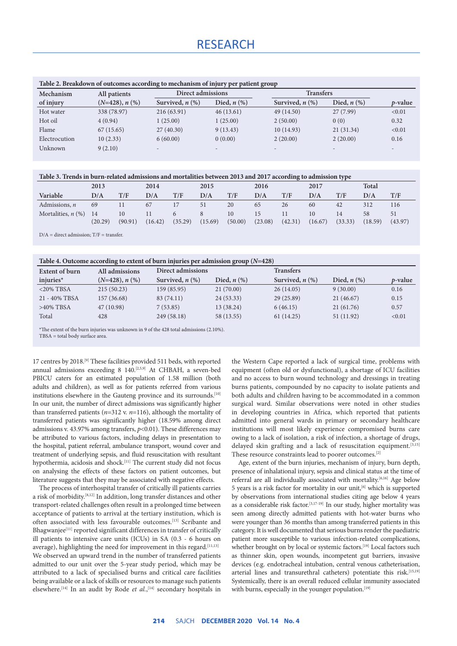## RESEARCH

| Table 2. Breakdown of outcomes according to mechanism of injury per patient group |                  |                      |                          |                      |                          |         |  |
|-----------------------------------------------------------------------------------|------------------|----------------------|--------------------------|----------------------|--------------------------|---------|--|
| Mechanism                                                                         | All patients     | Direct admissions    |                          | <b>Transfers</b>     |                          |         |  |
| of injury                                                                         | $(N=428), n$ (%) | Survived, $n$ $(\%)$ | Died, $n$ $(\%)$         | Survived, $n$ $(\%)$ | Died, $n$ $(\%)$         | p-value |  |
| Hot water                                                                         | 338 (78.97)      | 216(63.91)           | 46(13.61)                | 49 (14.50)           | 27(7.99)                 | < 0.01  |  |
| Hot oil                                                                           | 4(0.94)          | 1(25.00)             | 1(25.00)                 | 2(50.00)             | 0(0)                     | 0.32    |  |
| Flame                                                                             | 67(15.65)        | 27(40.30)            | 9(13.43)                 | 10(14.93)            | 21(31.34)                | < 0.01  |  |
| Electrocution                                                                     | 10(2.33)         | 6(60.00)             | 0(0.00)                  | 2(20.00)             | 2(20.00)                 | 0.16    |  |
| Unknown                                                                           | 9(2.10)          |                      | $\overline{\phantom{0}}$ |                      | $\overline{\phantom{a}}$ |         |  |

**Table 3. Trends in burn-related admissions and mortalities between 2013 and 2017 according to admission type**

|                      | 2013          |               | 2014          |         | 2015    |               | 2016          |         | 2017          |               | <b>Total</b>  |               |
|----------------------|---------------|---------------|---------------|---------|---------|---------------|---------------|---------|---------------|---------------|---------------|---------------|
| Variable             | D/A           | T/F           | D/A           | T/F     | D/A     | T/F           | D/A           | T/F     | $\rm{D/A}$    | T/F           | D/A           | T/F           |
| Admissions, $n$      | 69            |               | 67            | 17      | 51      | 20            | 65            | 26      | 60            | 42            | 312           | 116           |
| Mortalities, $n$ (%) | 14<br>(20.29) | 10<br>(90.91) | 11<br>(16.42) | (35.29) | (15.69) | 10<br>(50.00) | 15<br>(23.08) | (42.31) | 10<br>(16.67) | 14<br>(33.33) | 58<br>(18.59) | 51<br>(43.97) |

 $D/A =$  direct admission;  $T/F =$  transfer.

**Table 4. Outcome according to extent of burn injuries per admission group (***N***=428)**

| Table 3. Outcome according to extent of burn injuries per admission group $(11-120)$ |                  |                      |                  |                      |                  |                 |  |  |  |
|--------------------------------------------------------------------------------------|------------------|----------------------|------------------|----------------------|------------------|-----------------|--|--|--|
| All admissions<br>Extent of burn                                                     |                  | Direct admissions    |                  | <b>Transfers</b>     |                  |                 |  |  |  |
| injuries $*$                                                                         | $(N=428), n$ (%) | Survived, $n$ $(\%)$ | Died, $n$ $(\%)$ | Survived, $n$ $(\%)$ | Died, $n$ $(\%)$ | <i>p</i> -value |  |  |  |
| $<$ 20% TBSA                                                                         | 215(50.23)       | 159 (85.95)          | 21(70.00)        | 26(14.05)            | 9(30.00)         | 0.16            |  |  |  |
| 21 - 40% TBSA                                                                        | 157 (36.68)      | 83 (74.11)           | 24(53.33)        | 29(25.89)            | 21(46.67)        | 0.15            |  |  |  |
| $>40\%$ TBSA                                                                         | 47(10.98)        | 7(53.85)             | 13 (38.24)       | 6(46.15)             | 21(61.76)        | 0.57            |  |  |  |
| Total                                                                                | 428              | 249 (58.18)          | 58 (13.55)       | 61 (14.25)           | 51(11.92)        | < 0.01          |  |  |  |
|                                                                                      |                  |                      |                  |                      |                  |                 |  |  |  |

\*The extent of the burn injuries was unknown in 9 of the 428 total admissions (2.10%).

 $TBSA = total body surface area$ 

17 centres by 2018.[9] These facilities provided 511 beds, with reported annual admissions exceeding 8 140.<sup>[2,5,9]</sup> At CHBAH, a seven-bed PBICU caters for an estimated population of 1.58 million (both adults and children), as well as for patients referred from various institutions elsewhere in the Gauteng province and its surrounds.<sup>[10]</sup> In our unit, the number of direct admissions was significantly higher than transferred patients (*n*=312 v. *n*=116), although the mortality of transferred patients was significantly higher (18.59% among direct admissions v. 43.97% among transfers, *p*<0.01). These differences may be attributed to various factors, including delays in presentation to the hospital, patient referral, ambulance transport, wound cover and treatment of underlying sepsis, and fluid resuscitation with resultant hypothermia, acidosis and shock.[11] The current study did not focus on analysing the effects of these factors on patient outcomes, but literature suggests that they may be associated with negative effects.

The process of interhospital transfer of critically ill patients carries a risk of morbidity.[8,12] In addition, long transfer distances and other transport-related challenges often result in a prolonged time between acceptance of patients to arrival at the tertiary institution, which is often associated with less favourable outcomes.[13] Scribante and Bhagwanjee<sup>[11]</sup> reported significant differences in transfer of critically ill patients to intensive care units (ICUs) in SA (0.3 - 6 hours on average), highlighting the need for improvement in this regard.<sup>[11,13]</sup> We observed an upward trend in the number of transferred patients admitted to our unit over the 5-year study period, which may be attributed to a lack of specialised burns and critical care facilities being available or a lack of skills or resources to manage such patients elsewhere.<sup>[14]</sup> In an audit by Rode *et al.*,<sup>[14]</sup> secondary hospitals in the Western Cape reported a lack of surgical time, problems with equipment (often old or dysfunctional), a shortage of ICU facilities and no access to burn wound technology and dressings in treating burns patients, compounded by no capacity to isolate patients and both adults and children having to be accommodated in a common surgical ward. Similar observations were noted in other studies in developing countries in Africa, which reported that patients admitted into general wards in primary or secondary healthcare institutions will most likely experience compromised burns care owing to a lack of isolation, a risk of infection, a shortage of drugs, delayed skin grafting and a lack of resuscitation equipment.<sup>[3,15]</sup> These resource constraints lead to poorer outcomes.[2]

Age, extent of the burn injuries, mechanism of injury, burn depth, presence of inhalational injury, sepsis and clinical status at the time of referral are all individually associated with mortality.<sup>[6,16]</sup> Age below 5 years is a risk factor for mortality in our unit,[6] which is supported by observations from international studies citing age below 4 years as a considerable risk factor.[3,17-19] In our study, higher mortality was seen among directly admitted patients with hot-water burns who were younger than 36 months than among transferred patients in this category. It is well documented that serious burns render the paediatric patient more susceptible to various infection-related complications, whether brought on by local or systemic factors.<sup>[19]</sup> Local factors such as thinner skin, open wounds, incompetent gut barriers, invasive devices (e.g. endotracheal intubation, central venous catheterisation, arterial lines and transurethral catheters) potentiate this risk.[15,19] Systemically, there is an overall reduced cellular immunity associated with burns, especially in the younger population.<sup>[19]</sup>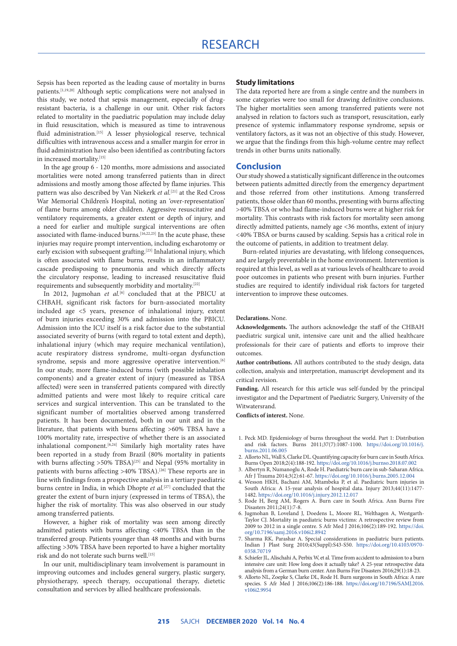### RESEARCH

Sepsis has been reported as the leading cause of mortality in burns patients.[1,19,20] Although septic complications were not analysed in this study, we noted that sepsis management, especially of drugresistant bacteria, is a challenge in our unit. Other risk factors related to mortality in the paediatric population may include delay in fluid resuscitation, which is measured as time to intravenous fluid administration.<sup>[15]</sup> A lesser physiological reserve, technical difficulties with intravenous access and a smaller margin for error in fluid administration have also been identified as contributing factors in increased mortality.<sup>[15]</sup>

In the age group 6 - 120 months, more admissions and associated mortalities were noted among transferred patients than in direct admissions and mostly among those affected by flame injuries. This pattern was also described by Van Niekerk *et al.*[21] at the Red Cross War Memorial Children's Hospital, noting an 'over-representation' of flame burns among older children. Aggressive resuscitative and ventilatory requirements, a greater extent or depth of injury, and a need for earlier and multiple surgical interventions are often associated with flame-induced burns.<sup>[16,22,23]</sup> In the acute phase, these injuries may require prompt intervention, including escharotomy or early excision with subsequent grafting.<sup>[23]</sup> Inhalational injury, which is often associated with flame burns, results in an inflammatory cascade predisposing to pneumonia and which directly affects the circulatory response, leading to increased resuscitative fluid requirements and subsequently morbidity and mortality.[22]

In 2012, Jugmohan *et al.*<sup>[6]</sup> concluded that at the PBICU at CHBAH, significant risk factors for burn-associated mortality included age <5 years, presence of inhalational injury, extent of burn injuries exceeding 30% and admission into the PBICU. Admission into the ICU itself is a risk factor due to the substantial associated severity of burns (with regard to total extent and depth), inhalational injury (which may require mechanical ventilation), acute respiratory distress syndrome, multi-organ dysfunction syndrome, sepsis and more aggressive operative intervention.<sup>[6]</sup> In our study, more flame-induced burns (with possible inhalation components) and a greater extent of injury (measured as TBSA affected) were seen in transferred patients compared with directly admitted patients and were most likely to require critical care services and surgical intervention. This can be translated to the significant number of mortalities observed among transferred patients. It has been documented, both in our unit and in the literature, that patients with burns affecting >60% TBSA have a 100% mortality rate, irrespective of whether there is an associated inhalational component.<sup>[6,24]</sup> Similarly high mortality rates have been reported in a study from Brazil (80% mortality in patients with burns affecting  $>50\%$  TBSA)<sup>[25]</sup> and Nepal (95% mortality in patients with burns affecting >40% TBSA).<sup>[26]</sup> These reports are in line with findings from a prospective analysis in a tertiary paediatric burns centre in India, in which Dhopte *et al.*<sup>[27]</sup> concluded that the greater the extent of burn injury (expressed in terms of TBSA), the higher the risk of mortality. This was also observed in our study among transferred patients.

However, a higher risk of mortality was seen among directly admitted patients with burns affecting <40% TBSA than in the transferred group. Patients younger than 48 months and with burns affecting >30% TBSA have been reported to have a higher mortality risk and do not tolerate such burns well.<sup>[15]</sup>

In our unit, multidisciplinary team involvement is paramount in improving outcomes and includes general surgery, plastic surgery, physiotherapy, speech therapy, occupational therapy, dietetic consultation and services by allied healthcare professionals.

### **Study limitations**

The data reported here are from a single centre and the numbers in some categories were too small for drawing definitive conclusions. The higher mortalities seen among transferred patients were not analysed in relation to factors such as transport, resuscitation, early presence of systemic inflammatory response syndrome, sepsis or ventilatory factors, as it was not an objective of this study. However, we argue that the findings from this high-volume centre may reflect trends in other burns units nationally.

### **Conclusion**

Our study showed a statistically significant difference in the outcomes between patients admitted directly from the emergency department and those referred from other institutions. Among transferred patients, those older than 60 months, presenting with burns affecting >40% TBSA or who had flame-induced burns were at higher risk for mortality. This contrasts with risk factors for mortality seen among directly admitted patients, namely age <36 months, extent of injury <40% TBSA or burns caused by scalding. Sepsis has a critical role in the outcome of patients, in addition to treatment delay.

Burn-related injuries are devastating, with lifelong consequences, and are largely preventable in the home environment. Intervention is required at this level, as well as at various levels of healthcare to avoid poor outcomes in patients who present with burn injuries. Further studies are required to identify individual risk factors for targeted intervention to improve these outcomes.

#### **Declarations.** None.

**Acknowledgements.** The authors acknowledge the staff of the CHBAH paediatric surgical unit, intensive care unit and the allied healthcare professionals for their care of patients and efforts to improve their outcomes.

**Author contributions.** All authors contributed to the study design, data collection, analysis and interpretation, manuscript development and its critical revision.

**Funding.** All research for this article was self-funded by the principal investigator and the Department of Paediatric Surgery, University of the Witwatersrand.

**Conflicts of interest.** None.

- 1. Peck MD. Epidemiology of burns throughout the world. Part 1: Distribution and risk factors. Burns 2011;37(7):1087-1100. [https://doi.org/10.1016/j.](https://doi.org/10.1016/j.burns.2011.06.005) [burns.2011.06.005](https://doi.org/10.1016/j.burns.2011.06.005)
- 2. Allorto NL, Wall S, Clarke DL. Quantifying capacity for burn care in South Africa. Burns Open 2018;2(4):188-192. <https://doi.org/10.1016/j.burnso.2018.07.002>
- 3. Albertyn R, Numanoglu A, Rode H. Paediatric burn care in sub-Saharan Africa. Afr J Trauma 2014;3(2):61-67. <https://doi.org/10.1016/j.burns.2005.12.004>
- 4. Wesson HKH, Bachani AM, Mtambeka P, et al. Paediatric burn injuries in South Africa: A 15-year analysis of hospital data. Injury 2013;44(11):1477-1482. <https://doi.org/10.1016/j.injury.2012.12.017>
- 5. Rode H, Berg AM, Rogers A. Burn care in South Africa. Ann Burns Fire Disasters 2011;24(1):7-8.
- 6. Jugmohan B, Loveland J, Doedens L, Moore RL, Welthagen A, Westgarth-Taylor CJ. Mortality in paediatric burns victims: A retrospective review from 2009 to 2012 in a single centre. S Afr Med J 2016;106(2):189-192. [https://doi.](https://doi.org/10.7196/samj.2016.v106i2.8942) [org/10.7196/samj.2016.v106i2.8942](https://doi.org/10.7196/samj.2016.v106i2.8942)
- 7. Sharma RK, Parashar A. Special considerations in paediatric burn patients. Indian J Plast Surg 2010;43(Suppl):S43-S50. [https://doi.org/10.4103/0970-](https://doi.org/10.4103/0970-0358.70719) [0358.70719](https://doi.org/10.4103/0970-0358.70719)
- 8. Schiefer JL, Alischahi A, Perbix W, et al. Time from accident to admission to a burn intensive care unit: How long does it actually take? A 25-year retrospective data analysis from a German burn center. Ann Burns Fire Disasters 2016;29(1):18-23.
- 9. Allorto NL, Zoepke S, Clarke DL, Rode H. Burn surgeons in South Africa: A rare species. S Afr Med J 2016;106(2):186-188. [https://doi.org/10.7196/SAMJ.2016.](https://doi.org/10.7196/SAMJ.2016.v106i2.9954) [v106i2.9954](https://doi.org/10.7196/SAMJ.2016.v106i2.9954)